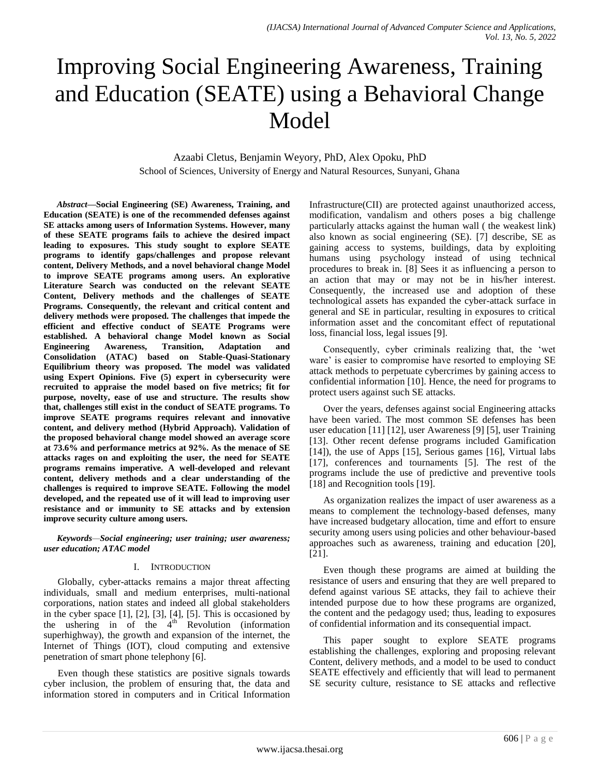# Improving Social Engineering Awareness, Training and Education (SEATE) using a Behavioral Change Model

Azaabi Cletus, Benjamin Weyory, PhD, Alex Opoku, PhD School of Sciences, University of Energy and Natural Resources, Sunyani, Ghana

*Abstract***—Social Engineering (SE) Awareness, Training, and Education (SEATE) is one of the recommended defenses against SE attacks among users of Information Systems. However, many of these SEATE programs fails to achieve the desired impact leading to exposures. This study sought to explore SEATE programs to identify gaps/challenges and propose relevant content, Delivery Methods, and a novel behavioral change Model to improve SEATE programs among users. An explorative Literature Search was conducted on the relevant SEATE Content, Delivery methods and the challenges of SEATE Programs. Consequently, the relevant and critical content and delivery methods were proposed. The challenges that impede the efficient and effective conduct of SEATE Programs were established. A behavioral change Model known as Social Engineering Awareness, Transition, Adaptation and Consolidation (ATAC) based on Stable-Quasi-Stationary Equilibrium theory was proposed. The model was validated using Expert Opinions. Five (5) expert in cybersecurity were recruited to appraise the model based on five metrics; fit for purpose, novelty, ease of use and structure. The results show that, challenges still exist in the conduct of SEATE programs. To improve SEATE programs requires relevant and innovative content, and delivery method (Hybrid Approach). Validation of the proposed behavioral change model showed an average score at 73.6% and performance metrics at 92%. As the menace of SE attacks rages on and exploiting the user, the need for SEATE programs remains imperative. A well-developed and relevant content, delivery methods and a clear understanding of the challenges is required to improve SEATE. Following the model developed, and the repeated use of it will lead to improving user resistance and or immunity to SE attacks and by extension improve security culture among users.**

*Keywords—Social engineering; user training; user awareness; user education; ATAC model*

#### I. INTRODUCTION

Globally, cyber-attacks remains a major threat affecting individuals, small and medium enterprises, multi-national corporations, nation states and indeed all global stakeholders in the cyber space [1], [2], [3], [4], [5]. This is occasioned by the ushering in of the  $4<sup>th</sup>$  Revolution (information superhighway), the growth and expansion of the internet, the Internet of Things (IOT), cloud computing and extensive penetration of smart phone telephony [6].

Even though these statistics are positive signals towards cyber inclusion, the problem of ensuring that, the data and information stored in computers and in Critical Information Infrastructure(CII) are protected against unauthorized access, modification, vandalism and others poses a big challenge particularly attacks against the human wall ( the weakest link) also known as social engineering (SE). [7] describe, SE as gaining access to systems, buildings, data by exploiting humans using psychology instead of using technical procedures to break in. [8] Sees it as influencing a person to an action that may or may not be in his/her interest. Consequently, the increased use and adoption of these technological assets has expanded the cyber-attack surface in general and SE in particular, resulting in exposures to critical information asset and the concomitant effect of reputational loss, financial loss, legal issues [9].

Consequently, cyber criminals realizing that, the "wet ware' is easier to compromise have resorted to employing SE attack methods to perpetuate cybercrimes by gaining access to confidential information [10]. Hence, the need for programs to protect users against such SE attacks.

Over the years, defenses against social Engineering attacks have been varied. The most common SE defenses has been user education [11] [12], user Awareness [9] [5], user Training [13]. Other recent defense programs included Gamification [14]), the use of Apps [15], Serious games [16], Virtual labs [17], conferences and tournaments [5]. The rest of the programs include the use of predictive and preventive tools [18] and Recognition tools [19].

As organization realizes the impact of user awareness as a means to complement the technology-based defenses, many have increased budgetary allocation, time and effort to ensure security among users using policies and other behaviour-based approaches such as awareness, training and education [20], [21].

Even though these programs are aimed at building the resistance of users and ensuring that they are well prepared to defend against various SE attacks, they fail to achieve their intended purpose due to how these programs are organized, the content and the pedagogy used; thus, leading to exposures of confidential information and its consequential impact.

This paper sought to explore SEATE programs establishing the challenges, exploring and proposing relevant Content, delivery methods, and a model to be used to conduct SEATE effectively and efficiently that will lead to permanent SE security culture, resistance to SE attacks and reflective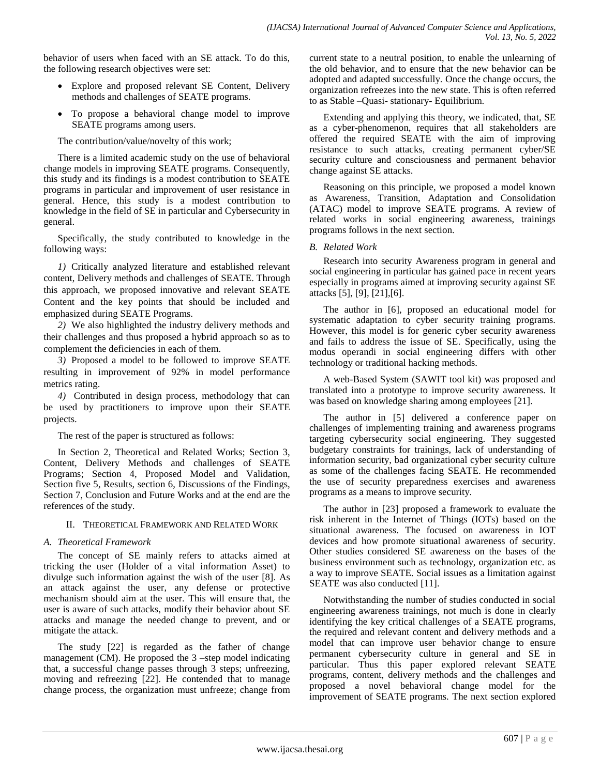behavior of users when faced with an SE attack. To do this, the following research objectives were set:

- Explore and proposed relevant SE Content, Delivery methods and challenges of SEATE programs.
- To propose a behavioral change model to improve SEATE programs among users.

The contribution/value/novelty of this work;

There is a limited academic study on the use of behavioral change models in improving SEATE programs. Consequently, this study and its findings is a modest contribution to SEATE programs in particular and improvement of user resistance in general. Hence, this study is a modest contribution to knowledge in the field of SE in particular and Cybersecurity in general.

Specifically, the study contributed to knowledge in the following ways:

*1)* Critically analyzed literature and established relevant content, Delivery methods and challenges of SEATE. Through this approach, we proposed innovative and relevant SEATE Content and the key points that should be included and emphasized during SEATE Programs.

*2)* We also highlighted the industry delivery methods and their challenges and thus proposed a hybrid approach so as to complement the deficiencies in each of them.

*3)* Proposed a model to be followed to improve SEATE resulting in improvement of 92% in model performance metrics rating.

*4)* Contributed in design process, methodology that can be used by practitioners to improve upon their SEATE projects.

The rest of the paper is structured as follows:

In Section 2, Theoretical and Related Works; Section 3, Content, Delivery Methods and challenges of SEATE Programs; Section 4, Proposed Model and Validation, Section five 5, Results, section 6, Discussions of the Findings, Section 7, Conclusion and Future Works and at the end are the references of the study.

# II. THEORETICAL FRAMEWORK AND RELATED WORK

#### *A. Theoretical Framework*

The concept of SE mainly refers to attacks aimed at tricking the user (Holder of a vital information Asset) to divulge such information against the wish of the user [8]. As an attack against the user, any defense or protective mechanism should aim at the user. This will ensure that, the user is aware of such attacks, modify their behavior about SE attacks and manage the needed change to prevent, and or mitigate the attack.

The study [22] is regarded as the father of change management (CM). He proposed the 3 –step model indicating that, a successful change passes through 3 steps; unfreezing, moving and refreezing [22]. He contended that to manage change process, the organization must unfreeze; change from current state to a neutral position, to enable the unlearning of the old behavior, and to ensure that the new behavior can be adopted and adapted successfully. Once the change occurs, the organization refreezes into the new state. This is often referred to as Stable –Quasi- stationary- Equilibrium.

Extending and applying this theory, we indicated, that, SE as a cyber-phenomenon, requires that all stakeholders are offered the required SEATE with the aim of improving resistance to such attacks, creating permanent cyber/SE security culture and consciousness and permanent behavior change against SE attacks.

Reasoning on this principle, we proposed a model known as Awareness, Transition, Adaptation and Consolidation (ATAC) model to improve SEATE programs. A review of related works in social engineering awareness, trainings programs follows in the next section.

### *B. Related Work*

Research into security Awareness program in general and social engineering in particular has gained pace in recent years especially in programs aimed at improving security against SE attacks [5], [9], [21],[6].

The author in [6], proposed an educational model for systematic adaptation to cyber security training programs. However, this model is for generic cyber security awareness and fails to address the issue of SE. Specifically, using the modus operandi in social engineering differs with other technology or traditional hacking methods.

A web-Based System (SAWIT tool kit) was proposed and translated into a prototype to improve security awareness. It was based on knowledge sharing among employees [21].

The author in [5] delivered a conference paper on challenges of implementing training and awareness programs targeting cybersecurity social engineering. They suggested budgetary constraints for trainings, lack of understanding of information security, bad organizational cyber security culture as some of the challenges facing SEATE. He recommended the use of security preparedness exercises and awareness programs as a means to improve security.

The author in [23] proposed a framework to evaluate the risk inherent in the Internet of Things (IOTs) based on the situational awareness. The focused on awareness in IOT devices and how promote situational awareness of security. Other studies considered SE awareness on the bases of the business environment such as technology, organization etc. as a way to improve SEATE. Social issues as a limitation against SEATE was also conducted [11].

Notwithstanding the number of studies conducted in social engineering awareness trainings, not much is done in clearly identifying the key critical challenges of a SEATE programs, the required and relevant content and delivery methods and a model that can improve user behavior change to ensure permanent cybersecurity culture in general and SE in particular. Thus this paper explored relevant SEATE programs, content, delivery methods and the challenges and proposed a novel behavioral change model for the improvement of SEATE programs. The next section explored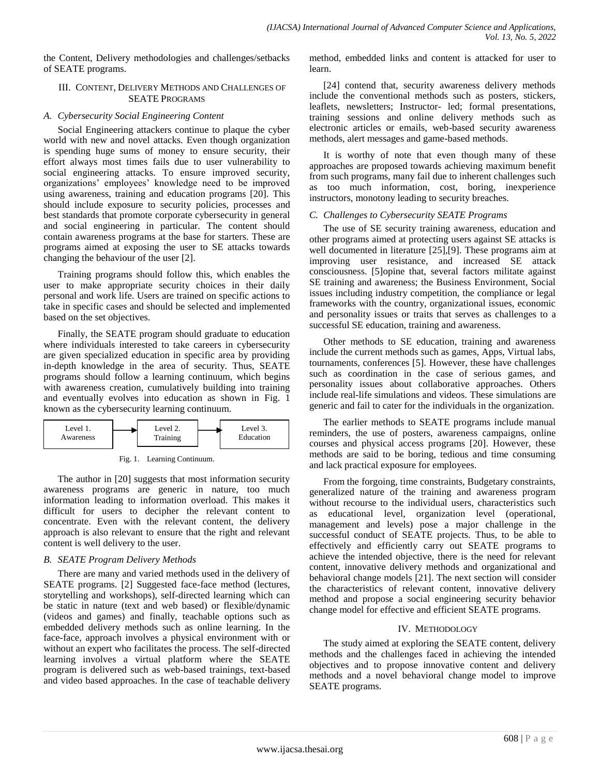the Content, Delivery methodologies and challenges/setbacks of SEATE programs.

#### III. CONTENT, DELIVERY METHODS AND CHALLENGES OF SEATE PROGRAMS

#### *A. Cybersecurity Social Engineering Content*

Social Engineering attackers continue to plaque the cyber world with new and novel attacks. Even though organization is spending huge sums of money to ensure security, their effort always most times fails due to user vulnerability to social engineering attacks. To ensure improved security, organizations" employees" knowledge need to be improved using awareness, training and education programs [20]. This should include exposure to security policies, processes and best standards that promote corporate cybersecurity in general and social engineering in particular. The content should contain awareness programs at the base for starters. These are programs aimed at exposing the user to SE attacks towards changing the behaviour of the user [2].

Training programs should follow this, which enables the user to make appropriate security choices in their daily personal and work life. Users are trained on specific actions to take in specific cases and should be selected and implemented based on the set objectives.

Finally, the SEATE program should graduate to education where individuals interested to take careers in cybersecurity are given specialized education in specific area by providing in-depth knowledge in the area of security. Thus, SEATE programs should follow a learning continuum, which begins with awareness creation, cumulatively building into training and eventually evolves into education as shown in Fig. 1 known as the cybersecurity learning continuum.





The author in [20] suggests that most information security awareness programs are generic in nature, too much information leading to information overload. This makes it difficult for users to decipher the relevant content to concentrate. Even with the relevant content, the delivery approach is also relevant to ensure that the right and relevant content is well delivery to the user.

# *B. SEATE Program Delivery Methods*

There are many and varied methods used in the delivery of SEATE programs. [2] Suggested face-face method (lectures, storytelling and workshops), self-directed learning which can be static in nature (text and web based) or flexible/dynamic (videos and games) and finally, teachable options such as embedded delivery methods such as online learning. In the face-face, approach involves a physical environment with or without an expert who facilitates the process. The self-directed learning involves a virtual platform where the SEATE program is delivered such as web-based trainings, text-based and video based approaches. In the case of teachable delivery

method, embedded links and content is attacked for user to learn.

[24] contend that, security awareness delivery methods include the conventional methods such as posters, stickers, leaflets, newsletters; Instructor- led; formal presentations, training sessions and online delivery methods such as electronic articles or emails, web-based security awareness methods, alert messages and game-based methods.

It is worthy of note that even though many of these approaches are proposed towards achieving maximum benefit from such programs, many fail due to inherent challenges such as too much information, cost, boring, inexperience instructors, monotony leading to security breaches.

# *C. Challenges to Cybersecurity SEATE Programs*

The use of SE security training awareness, education and other programs aimed at protecting users against SE attacks is well documented in literature [25],[9]. These programs aim at improving user resistance, and increased SE attack consciousness. [5]opine that, several factors militate against SE training and awareness; the Business Environment, Social issues including industry competition, the compliance or legal frameworks with the country, organizational issues, economic and personality issues or traits that serves as challenges to a successful SE education, training and awareness.

Other methods to SE education, training and awareness include the current methods such as games, Apps, Virtual labs, tournaments, conferences [5]. However, these have challenges such as coordination in the case of serious games, and personality issues about collaborative approaches. Others include real-life simulations and videos. These simulations are generic and fail to cater for the individuals in the organization.

The earlier methods to SEATE programs include manual reminders, the use of posters, awareness campaigns, online courses and physical access programs [20]. However, these methods are said to be boring, tedious and time consuming and lack practical exposure for employees.

From the forgoing, time constraints, Budgetary constraints, generalized nature of the training and awareness program without recourse to the individual users, characteristics such as educational level, organization level (operational, management and levels) pose a major challenge in the successful conduct of SEATE projects. Thus, to be able to effectively and efficiently carry out SEATE programs to achieve the intended objective, there is the need for relevant content, innovative delivery methods and organizational and behavioral change models [21]. The next section will consider the characteristics of relevant content, innovative delivery method and propose a social engineering security behavior change model for effective and efficient SEATE programs.

# IV. METHODOLOGY

The study aimed at exploring the SEATE content, delivery methods and the challenges faced in achieving the intended objectives and to propose innovative content and delivery methods and a novel behavioral change model to improve SEATE programs.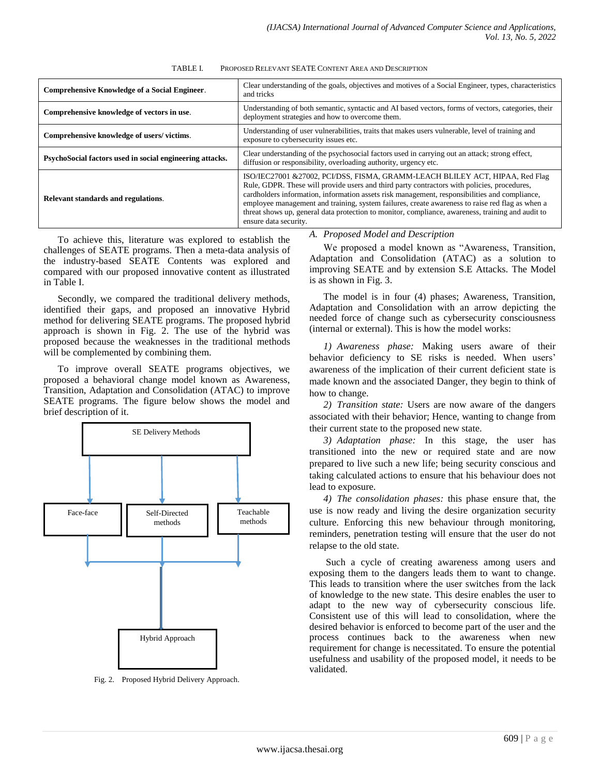| TABLE I. | PROPOSED RELEVANT SEATE CONTENT AREA AND DESCRIPTION |
|----------|------------------------------------------------------|
|          |                                                      |

| <b>Comprehensive Knowledge of a Social Engineer.</b>     | Clear understanding of the goals, objectives and motives of a Social Engineer, types, characteristics<br>and tricks                                                                                                                                                                                                                                                                                                                                                                                            |  |  |  |
|----------------------------------------------------------|----------------------------------------------------------------------------------------------------------------------------------------------------------------------------------------------------------------------------------------------------------------------------------------------------------------------------------------------------------------------------------------------------------------------------------------------------------------------------------------------------------------|--|--|--|
| Comprehensive knowledge of vectors in use.               | Understanding of both semantic, syntactic and AI based vectors, forms of vectors, categories, their<br>deployment strategies and how to overcome them.                                                                                                                                                                                                                                                                                                                                                         |  |  |  |
| Comprehensive knowledge of users/victims.                | Understanding of user vulnerabilities, traits that makes users vulnerable, level of training and<br>exposure to cybersecurity issues etc.                                                                                                                                                                                                                                                                                                                                                                      |  |  |  |
| PsychoSocial factors used in social engineering attacks. | Clear understanding of the psychosocial factors used in carrying out an attack; strong effect,<br>diffusion or responsibility, overloading authority, urgency etc.                                                                                                                                                                                                                                                                                                                                             |  |  |  |
| Relevant standards and regulations.                      | ISO/IEC27001 & 27002, PCI/DSS, FISMA, GRAMM-LEACH BLILEY ACT, HIPAA, Red Flag<br>Rule, GDPR. These will provide users and third party contractors with policies, procedures,<br>cardholders information, information assets risk management, responsibilities and compliance,<br>employee management and training, system failures, create awareness to raise red flag as when a<br>threat shows up, general data protection to monitor, compliance, awareness, training and audit to<br>ensure data security. |  |  |  |

To achieve this, literature was explored to establish the challenges of SEATE programs. Then a meta-data analysis of the industry-based SEATE Contents was explored and compared with our proposed innovative content as illustrated in Table I.

Secondly, we compared the traditional delivery methods, identified their gaps, and proposed an innovative Hybrid method for delivering SEATE programs. The proposed hybrid approach is shown in Fig. 2. The use of the hybrid was proposed because the weaknesses in the traditional methods will be complemented by combining them.

To improve overall SEATE programs objectives, we proposed a behavioral change model known as Awareness, Transition, Adaptation and Consolidation (ATAC) to improve SEATE programs. The figure below shows the model and brief description of it.



Fig. 2. Proposed Hybrid Delivery Approach.

*A. Proposed Model and Description*

We proposed a model known as "Awareness, Transition, Adaptation and Consolidation (ATAC) as a solution to improving SEATE and by extension S.E Attacks. The Model is as shown in Fig. 3.

The model is in four (4) phases; Awareness, Transition, Adaptation and Consolidation with an arrow depicting the needed force of change such as cybersecurity consciousness (internal or external). This is how the model works:

*1) Awareness phase:* Making users aware of their behavior deficiency to SE risks is needed. When users' awareness of the implication of their current deficient state is made known and the associated Danger, they begin to think of how to change.

*2) Transition state:* Users are now aware of the dangers associated with their behavior; Hence, wanting to change from their current state to the proposed new state.

*3) Adaptation phase:* In this stage, the user has transitioned into the new or required state and are now prepared to live such a new life; being security conscious and taking calculated actions to ensure that his behaviour does not lead to exposure.

*4) The consolidation phases:* this phase ensure that, the use is now ready and living the desire organization security culture. Enforcing this new behaviour through monitoring, reminders, penetration testing will ensure that the user do not relapse to the old state.

Such a cycle of creating awareness among users and exposing them to the dangers leads them to want to change. This leads to transition where the user switches from the lack of knowledge to the new state. This desire enables the user to adapt to the new way of cybersecurity conscious life. Consistent use of this will lead to consolidation, where the desired behavior is enforced to become part of the user and the process continues back to the awareness when new requirement for change is necessitated. To ensure the potential usefulness and usability of the proposed model, it needs to be validated.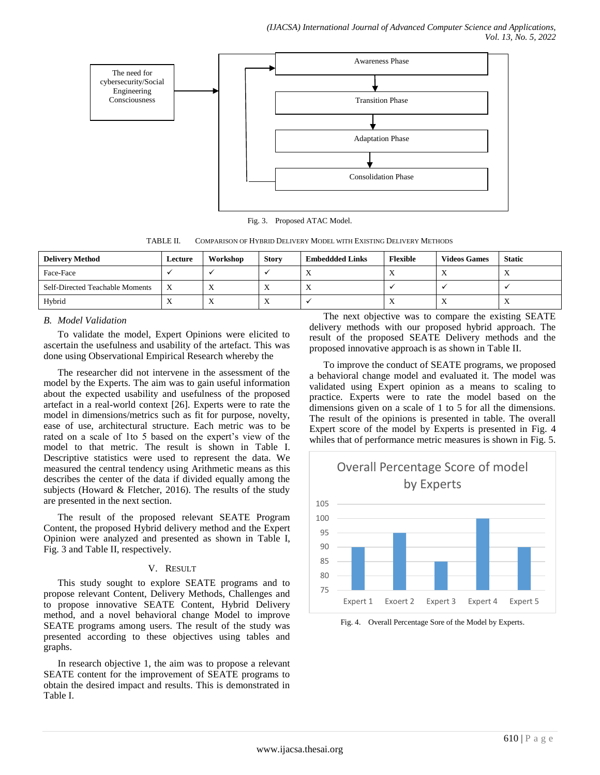

Fig. 3. Proposed ATAC Model.

TABLE II. COMPARISON OF HYBRID DELIVERY MODEL WITH EXISTING DELIVERY METHODS

| <b>Delivery Method</b>          | Lecture                   | Workshop  | <b>Story</b>              | <b>Embeddded Links</b> | <b>Flexible</b> | <b>Videos Games</b> | <b>Static</b>  |
|---------------------------------|---------------------------|-----------|---------------------------|------------------------|-----------------|---------------------|----------------|
| Face-Face                       |                           |           |                           |                        | $\overline{ }$  | $\lambda$           |                |
| Self-Directed Teachable Moments | $\boldsymbol{\mathrm{X}}$ |           | $\mathbf{v}$<br>$\Lambda$ |                        |                 |                     |                |
| Hybrid                          |                           | $\lambda$ | $\mathbf{v}$<br>$\Lambda$ |                        | $\overline{ }$  | $\Lambda$           | $\overline{ }$ |

# *B. Model Validation*

To validate the model, Expert Opinions were elicited to ascertain the usefulness and usability of the artefact. This was done using Observational Empirical Research whereby the

The researcher did not intervene in the assessment of the model by the Experts. The aim was to gain useful information about the expected usability and usefulness of the proposed artefact in a real-world context [26]. Experts were to rate the model in dimensions/metrics such as fit for purpose, novelty, ease of use, architectural structure. Each metric was to be rated on a scale of 1 to 5 based on the expert's view of the model to that metric. The result is shown in Table I. Descriptive statistics were used to represent the data. We measured the central tendency using Arithmetic means as this describes the center of the data if divided equally among the subjects (Howard & Fletcher, 2016). The results of the study are presented in the next section.

The result of the proposed relevant SEATE Program Content, the proposed Hybrid delivery method and the Expert Opinion were analyzed and presented as shown in Table I, Fig. 3 and Table II, respectively.

# V. RESULT

This study sought to explore SEATE programs and to propose relevant Content, Delivery Methods, Challenges and to propose innovative SEATE Content, Hybrid Delivery method, and a novel behavioral change Model to improve SEATE programs among users. The result of the study was presented according to these objectives using tables and graphs.

In research objective 1, the aim was to propose a relevant SEATE content for the improvement of SEATE programs to obtain the desired impact and results. This is demonstrated in Table I.

The next objective was to compare the existing SEATE delivery methods with our proposed hybrid approach. The result of the proposed SEATE Delivery methods and the proposed innovative approach is as shown in Table II.

To improve the conduct of SEATE programs, we proposed a behavioral change model and evaluated it. The model was validated using Expert opinion as a means to scaling to practice. Experts were to rate the model based on the dimensions given on a scale of 1 to 5 for all the dimensions. The result of the opinions is presented in table. The overall Expert score of the model by Experts is presented in Fig. 4 whiles that of performance metric measures is shown in Fig. 5.



Fig. 4. Overall Percentage Sore of the Model by Experts.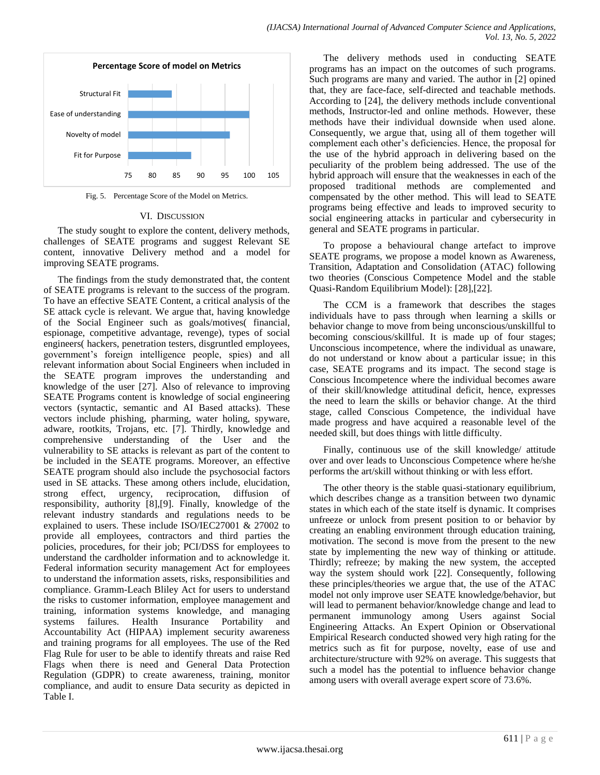

Fig. 5. Percentage Score of the Model on Metrics.

#### VI. DISCUSSION

The study sought to explore the content, delivery methods, challenges of SEATE programs and suggest Relevant SE content, innovative Delivery method and a model for improving SEATE programs.

The findings from the study demonstrated that, the content of SEATE programs is relevant to the success of the program. To have an effective SEATE Content, a critical analysis of the SE attack cycle is relevant. We argue that, having knowledge of the Social Engineer such as goals/motives( financial, espionage, competitive advantage, revenge), types of social engineers( hackers, penetration testers, disgruntled employees, government"s foreign intelligence people, spies) and all relevant information about Social Engineers when included in the SEATE program improves the understanding and knowledge of the user [27]. Also of relevance to improving SEATE Programs content is knowledge of social engineering vectors (syntactic, semantic and AI Based attacks). These vectors include phishing, pharming, water holing, spyware, adware, rootkits, Trojans, etc. [7]. Thirdly, knowledge and comprehensive understanding of the User and the vulnerability to SE attacks is relevant as part of the content to be included in the SEATE programs. Moreover, an effective SEATE program should also include the psychosocial factors used in SE attacks. These among others include, elucidation, strong effect, urgency, reciprocation, diffusion of responsibility, authority [8],[9]. Finally, knowledge of the relevant industry standards and regulations needs to be explained to users. These include ISO/IEC27001 & 27002 to provide all employees, contractors and third parties the policies, procedures, for their job; PCI/DSS for employees to understand the cardholder information and to acknowledge it. Federal information security management Act for employees to understand the information assets, risks, responsibilities and compliance. Gramm-Leach Bliley Act for users to understand the risks to customer information, employee management and training, information systems knowledge, and managing systems failures. Health Insurance Portability and Accountability Act (HIPAA) implement security awareness and training programs for all employees. The use of the Red Flag Rule for user to be able to identify threats and raise Red Flags when there is need and General Data Protection Regulation (GDPR) to create awareness, training, monitor compliance, and audit to ensure Data security as depicted in Table I.

The delivery methods used in conducting SEATE programs has an impact on the outcomes of such programs. Such programs are many and varied. The author in [2] opined that, they are face-face, self-directed and teachable methods. According to [24], the delivery methods include conventional methods, Instructor-led and online methods. However, these methods have their individual downside when used alone. Consequently, we argue that, using all of them together will complement each other"s deficiencies. Hence, the proposal for the use of the hybrid approach in delivering based on the peculiarity of the problem being addressed. The use of the hybrid approach will ensure that the weaknesses in each of the proposed traditional methods are complemented and compensated by the other method. This will lead to SEATE programs being effective and leads to improved security to social engineering attacks in particular and cybersecurity in general and SEATE programs in particular.

To propose a behavioural change artefact to improve SEATE programs, we propose a model known as Awareness, Transition, Adaptation and Consolidation (ATAC) following two theories (Conscious Competence Model and the stable Quasi-Random Equilibrium Model): [28],[22].

The CCM is a framework that describes the stages individuals have to pass through when learning a skills or behavior change to move from being unconscious/unskillful to becoming conscious/skillful. It is made up of four stages; Unconscious incompetence, where the individual as unaware, do not understand or know about a particular issue; in this case, SEATE programs and its impact. The second stage is Conscious Incompetence where the individual becomes aware of their skill/knowledge attitudinal deficit, hence, expresses the need to learn the skills or behavior change. At the third stage, called Conscious Competence, the individual have made progress and have acquired a reasonable level of the needed skill, but does things with little difficulty.

Finally, continuous use of the skill knowledge/ attitude over and over leads to Unconscious Competence where he/she performs the art/skill without thinking or with less effort.

The other theory is the stable quasi-stationary equilibrium, which describes change as a transition between two dynamic states in which each of the state itself is dynamic. It comprises unfreeze or unlock from present position to or behavior by creating an enabling environment through education training, motivation. The second is move from the present to the new state by implementing the new way of thinking or attitude. Thirdly; refreeze; by making the new system, the accepted way the system should work [22]. Consequently, following these principles/theories we argue that, the use of the ATAC model not only improve user SEATE knowledge/behavior, but will lead to permanent behavior/knowledge change and lead to permanent immunology among Users against Social Engineering Attacks. An Expert Opinion or Observational Empirical Research conducted showed very high rating for the metrics such as fit for purpose, novelty, ease of use and architecture/structure with 92% on average. This suggests that such a model has the potential to influence behavior change among users with overall average expert score of 73.6%.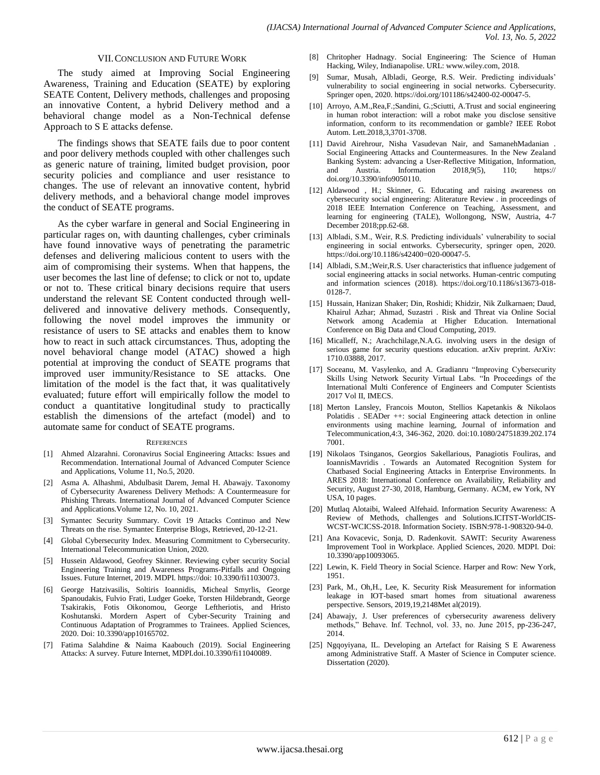#### VII.CONCLUSION AND FUTURE WORK

The study aimed at Improving Social Engineering Awareness, Training and Education (SEATE) by exploring SEATE Content, Delivery methods, challenges and proposing an innovative Content, a hybrid Delivery method and a behavioral change model as a Non-Technical defense Approach to S E attacks defense.

The findings shows that SEATE fails due to poor content and poor delivery methods coupled with other challenges such as generic nature of training, limited budget provision, poor security policies and compliance and user resistance to changes. The use of relevant an innovative content, hybrid delivery methods, and a behavioral change model improves the conduct of SEATE programs.

As the cyber warfare in general and Social Engineering in particular rages on, with daunting challenges, cyber criminals have found innovative ways of penetrating the parametric defenses and delivering malicious content to users with the aim of compromising their systems. When that happens, the user becomes the last line of defense; to click or not to, update or not to. These critical binary decisions require that users understand the relevant SE Content conducted through welldelivered and innovative delivery methods. Consequently, following the novel model improves the immunity or resistance of users to SE attacks and enables them to know how to react in such attack circumstances. Thus, adopting the novel behavioral change model (ATAC) showed a high potential at improving the conduct of SEATE programs that improved user immunity/Resistance to SE attacks. One limitation of the model is the fact that, it was qualitatively evaluated; future effort will empirically follow the model to conduct a quantitative longitudinal study to practically establish the dimensions of the artefact (model) and to automate same for conduct of SEATE programs.

#### **REFERENCES**

- [1] Ahmed Alzarahni. Coronavirus Social Engineering Attacks: Issues and Recommendation. International Journal of Advanced Computer Science and Applications, Volume 11, No.5, 2020.
- [2] Asma A. Alhashmi, Abdulbasit Darem, Jemal H. Abawajy. Taxonomy of Cybersecurity Awareness Delivery Methods: A Countermeasure for Phishing Threats. International Journal of Advanced Computer Science and Applications.Volume 12, No. 10, 2021.
- [3] Symantec Security Summary. Covit 19 Attacks Continuo and New Threats on the rise. Symantec Enterprise Blogs, Retrieved, 20-12-21.
- [4] Global Cybersecurity Index. Measuring Commitment to Cybersecurity. International Telecommunication Union, 2020.
- [5] Hussein Aldawood, Geofrey Skinner. Reviewing cyber security Social Engineering Training and Awareness Programs-Pitfalls and Ongoing Issues. Future Internet, 2019. MDPI. https://doi: 10.3390/fi11030073.
- [6] George Hatzivasilis, Soltiris Ioannidis, Micheal Smyrlis, George Spanoudakis, Fulvio Frati, Ludger Goeke, Torsten Hildebrandt, George Tsakirakis, Fotis Oikonomou, George Leftheriotis, and Hristo Koshutanski. Mordern Aspert of Cyber-Security Training and Continuous Adaptation of Programmes to Trainees. Applied Sciences, 2020. Doi: 10.3390/app10165702.
- [7] Fatima Salahdine & Naima Kaabouch (2019). Social Engineering Attacks: A survey. Future Internet, MDPI.doi.10.3390/fi11040089.
- [8] Chritopher Hadnagy. Social Engineering: The Science of Human Hacking, Wiley, Indianapolise. URL: www.wiley.com, 2018.
- [9] Sumar, Musah, Albladi, George, R.S. Weir. Predicting individuals' vulnerability to social engineering in social networks. Cybersecurity. Springer open, 2020. https://doi.org/101186/s42400-02-00047-5.
- [10] Arroyo, A.M., Rea, F.; Sandini, G.; Sciutti, A.Trust and social engineering in human robot interaction: will a robot make you disclose sensitive information, conform to its recommendation or gamble? IEEE Robot Autom. Lett.2018,3,3701-3708.
- [11] David Airehrour, Nisha Vasudevan Nair, and SamanehMadanian Social Engineering Attacks and Countermeasures. In the New Zealand Banking System: advancing a User-Reflective Mitigation, Information, and Austria. Information 2018,9(5), 110; https:// doi.org/10.3390/info9050110.
- [12] Aldawood , H.; Skinner, G. Educating and raising awareness on cybersecurity social engineering: Aliterature Review . in proceedings of 2018 IEEE Internation Conference on Teaching, Assessment, and learning for engineering (TALE), Wollongong, NSW, Austria, 4-7 December 2018;pp.62-68.
- [13] Albladi, S.M., Weir, R.S. Predicting individuals' vulnerability to social engineering in social entworks. Cybersecurity, springer open, 2020. https://doi.org/10.1186/s42400=020-00047-5.
- [14] Albladi, S.M.;Weir,R.S. User characteristics that influence judgement of social engineering attacks in social networks. Human-centric computing and information sciences (2018). https://doi.org/10.1186/s13673-018- 0128-7.
- [15] Hussain, Hanizan Shaker; Din, Roshidi; Khidzir, Nik Zulkarnaen; Daud, Khairul Azhar; Ahmad, Suzastri . Risk and Threat via Online Social Network among Academia at Higher Education. International Conference on Big Data and Cloud Computing, 2019.
- [16] Micalleff, N.; Arachchilage, N.A.G. involving users in the design of serious game for security questions education. arXiv preprint. ArXiv: 1710.03888, 2017.
- [17] Soceanu, M. Vasylenko, and A. Gradianru "Improving Cybersecurity Skills Using Network Security Virtual Labs. "In Proceedings of the International Multi Conference of Engineers and Computer Scientists 2017 Vol II, IMECS.
- [18] Merton Lansley, Francois Mouton, Stellios Kapetankis & Nikolaos Polatidis . SEADer ++: social Engineering attack detection in online environments using machine learning, Journal of information and Telecommunication,4:3, 346-362, 2020. doi:10.1080/24751839.202.174 7001.
- [19] Nikolaos Tsinganos, Georgios Sakellarious, Panagiotis Fouliras, and IoannisMavridis . Towards an Automated Recognition System for Chatbased Social Engineering Attacks in Enterprise Environments. In ARES 2018: International Conference on Availability, Reliability and Security, August 27-30, 2018, Hamburg, Germany. ACM, ew York, NY USA, 10 pages.
- [20] Mutlaq Alotaibi, Waleed Alfehaid. Information Security Awareness: A Review of Methods, challenges and Solutions.ICITST-WorldCIS-WCST-WCICSS-2018. Information Society. ISBN:978-1-908320-94-0.
- [21] Ana Kovacevic, Sonja, D. Radenkovit. SAWIT: Security Awareness Improvement Tool in Workplace. Applied Sciences, 2020. MDPI. Doi: 10.3390/app10093065.
- [22] Lewin, K. Field Theory in Social Science. Harper and Row: New York, 1951.
- [23] Park, M., Oh,H., Lee, K. Security Risk Measurement for information leakage in IOT-based smart homes from situational awareness perspective. Sensors, 2019,19,2148Met al(2019).
- [24] Abawajy, J. User preferences of cybersecurity awareness delivery methods," Behave. Inf. Technol, vol. 33, no. June 2015, pp-236-247, 2014.
- [25] Ngqoyiyana, IL. Developing an Artefact for Raising S E Awareness among Administrative Staff. A Master of Science in Computer science. Dissertation (2020).